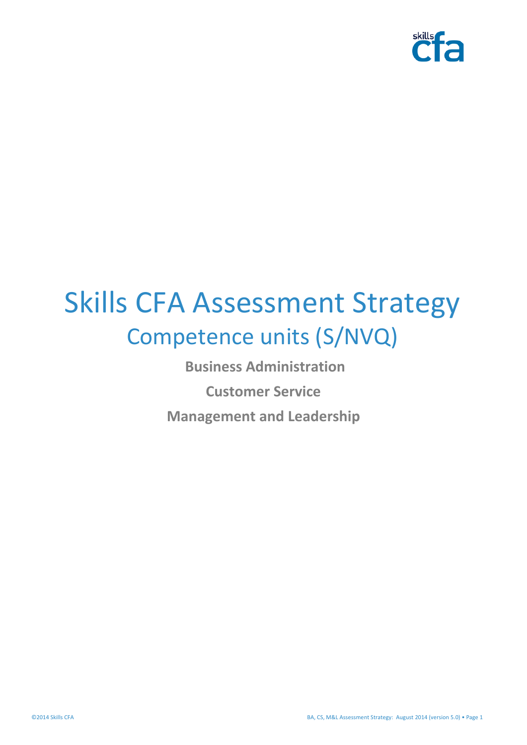

# Skills CFA Assessment Strategy Competence units (S/NVQ)

<span id="page-0-0"></span>**Business Administration Customer Service Management and Leadership**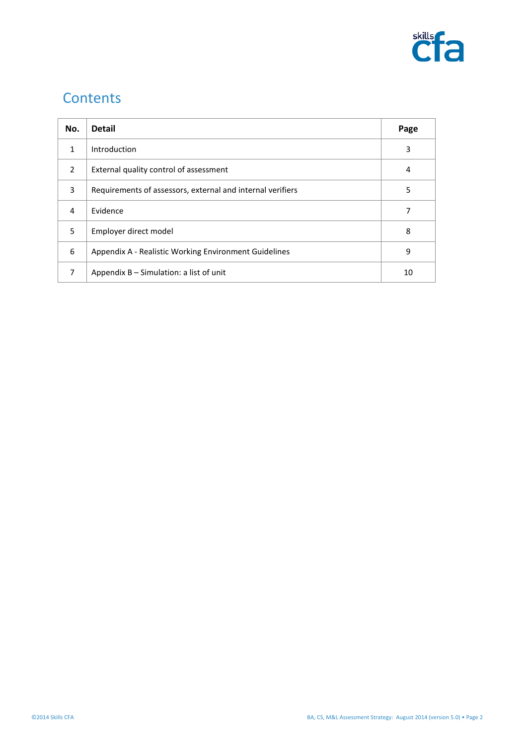

# **Contents**

| No.            | <b>Detail</b>                                              | Page |
|----------------|------------------------------------------------------------|------|
| 1              | Introduction                                               | 3    |
| $\mathfrak{p}$ | External quality control of assessment                     | 4    |
| 3              | Requirements of assessors, external and internal verifiers | 5    |
| 4              | Evidence                                                   | 7    |
| 5.             | Employer direct model                                      | 8    |
| 6              | Appendix A - Realistic Working Environment Guidelines      | 9    |
| 7              | Appendix $B -$ Simulation: a list of unit                  | 10   |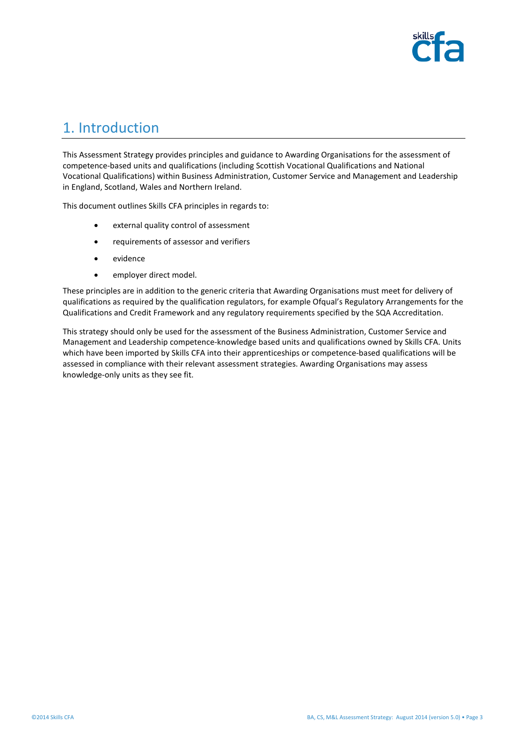

# 1. Introduction

This Assessment Strategy provides principles and guidance to Awarding Organisations for the assessment of competence-based units and qualifications (including Scottish Vocational Qualifications and National Vocational Qualifications) within Business Administration, Customer Service and Management and Leadership in England, Scotland, Wales and Northern Ireland.

This document outlines Skills CFA principles in regards to:

- external quality control of assessment
- requirements of assessor and verifiers
- evidence
- employer direct model.

These principles are in addition to the generic criteria that Awarding Organisations must meet for delivery of qualifications as required by the qualification regulators, for example Ofqual's Regulatory Arrangements for the Qualifications and Credit Framework and any regulatory requirements specified by the SQA Accreditation.

This strategy should only be used for the assessment of the Business Administration, Customer Service and Management and Leadership competence-knowledge based units and qualifications owned by Skills CFA. Units which have been imported by Skills CFA into their apprenticeships or competence-based qualifications will be assessed in compliance with their relevant assessment strategies. Awarding Organisations may assess knowledge-only units as they see fit.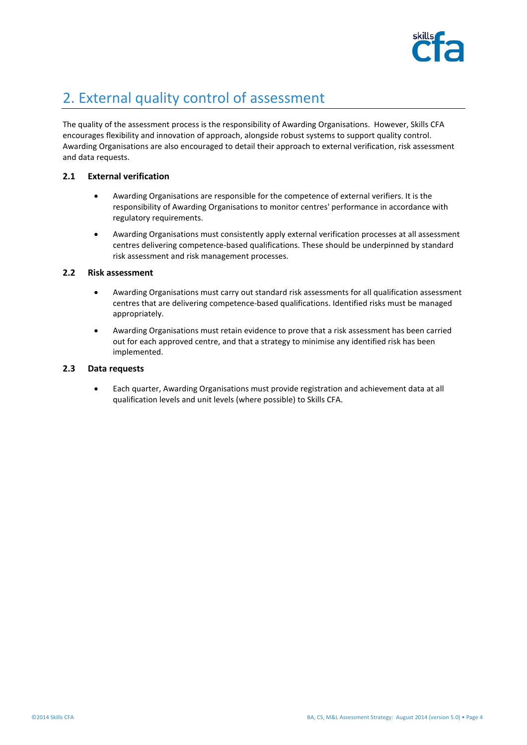

# 2. External quality control of assessment

The quality of the assessment process is the responsibility of Awarding Organisations. However, Skills CFA encourages flexibility and innovation of approach, alongside robust systems to support quality control. Awarding Organisations are also encouraged to detail their approach to external verification, risk assessment and data requests.

#### **2.1 External verification**

- Awarding Organisations are responsible for the competence of external verifiers. It is the responsibility of Awarding Organisations to monitor centres' performance in accordance with regulatory requirements.
- Awarding Organisations must consistently apply external verification processes at all assessment centres delivering competence-based qualifications. These should be underpinned by standard risk assessment and risk management processes.

#### **2.2 Risk assessment**

- Awarding Organisations must carry out standard risk assessments for all qualification assessment centres that are delivering competence-based qualifications. Identified risks must be managed appropriately.
- Awarding Organisations must retain evidence to prove that a risk assessment has been carried out for each approved centre, and that a strategy to minimise any identified risk has been implemented.

#### **2.3 Data requests**

• Each quarter, Awarding Organisations must provide registration and achievement data at all qualification levels and unit levels (where possible) to Skills CFA.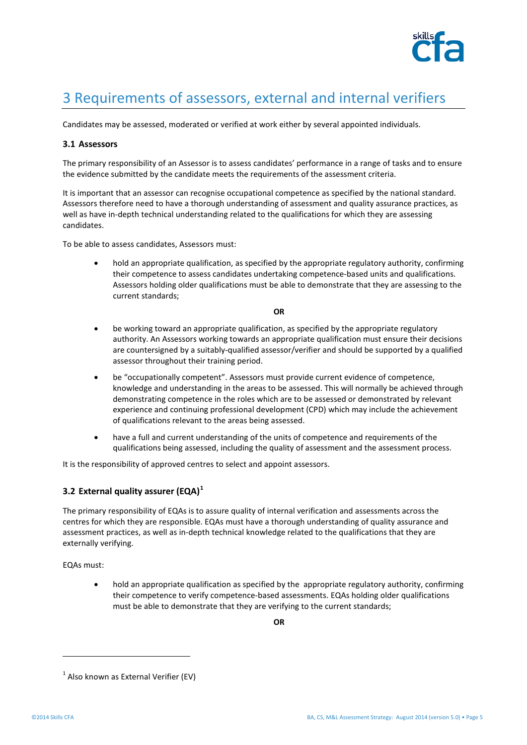

# 3 Requirements of assessors, external and internal verifiers

Candidates may be assessed, moderated or verified at work either by several appointed individuals.

#### **3.1 Assessors**

The primary responsibility of an Assessor is to assess candidates' performance in a range of tasks and to ensure the evidence submitted by the candidate meets the requirements of the assessment criteria.

It is important that an assessor can recognise occupational competence as specified by the national standard. Assessors therefore need to have a thorough understanding of assessment and quality assurance practices, as well as have in-depth technical understanding related to the qualifications for which they are assessing candidates.

To be able to assess candidates, Assessors must:

• hold an appropriate qualification, as specified by the appropriate regulatory authority, confirming their competence to assess candidates undertaking competence-based units and qualifications. Assessors holding older qualifications must be able to demonstrate that they are assessing to the current standards;

#### **OR**

- be working toward an appropriate qualification, as specified by the appropriate regulatory authority. An Assessors working towards an appropriate qualification must ensure their decisions are countersigned by a suitably-qualified assessor/verifier and should be supported by a qualified assessor throughout their training period.
- be "occupationally competent". Assessors must provide current evidence of competence, knowledge and understanding in the areas to be assessed. This will normally be achieved through demonstrating competence in the roles which are to be assessed or demonstrated by relevant experience and continuing professional development (CPD) which may include the achievement of qualifications relevant to the areas being assessed.
- have a full and current understanding of the units of competence and requirements of the qualifications being assessed, including the quality of assessment and the assessment process.

It is the responsibility of approved centres to select and appoint assessors.

#### **3.2 External quality assurer (EQA)[1](#page-0-0)**

The primary responsibility of EQAs is to assure quality of internal verification and assessments across the centres for which they are responsible. EQAs must have a thorough understanding of quality assurance and assessment practices, as well as in-depth technical knowledge related to the qualifications that they are externally verifying.

EQAs must:

• hold an appropriate qualification as specified by the appropriate regulatory authority, confirming their competence to verify competence-based assessments. EQAs holding older qualifications must be able to demonstrate that they are verifying to the current standards;

**OR**

<span id="page-4-0"></span>1

 $<sup>1</sup>$  Also known as External Verifier (EV)</sup>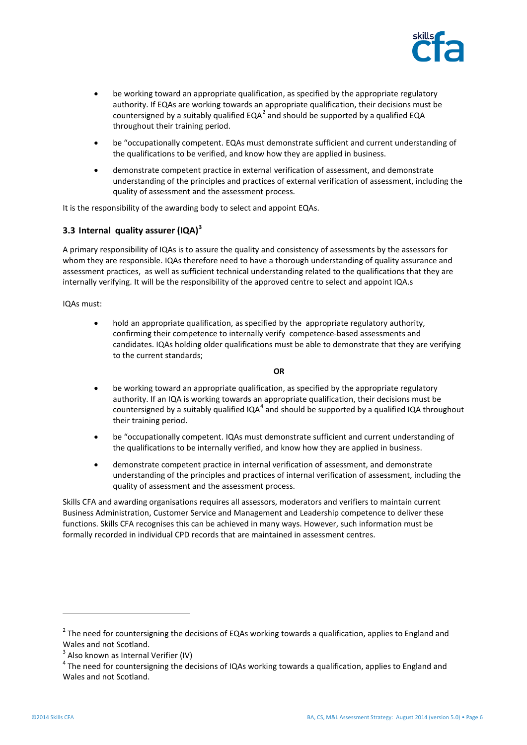

- be working toward an appropriate qualification, as specified by the appropriate regulatory authority. If EQAs are working towards an appropriate qualification, their decisions must be countersigned by a suitably qualified EQA<sup>[2](#page-4-0)</sup> and should be supported by a qualified EQA throughout their training period.
- be "occupationally competent. EQAs must demonstrate sufficient and current understanding of the qualifications to be verified, and know how they are applied in business.
- demonstrate competent practice in external verification of assessment, and demonstrate understanding of the principles and practices of external verification of assessment, including the quality of assessment and the assessment process.

It is the responsibility of the awarding body to select and appoint EQAs.

### **3.3 Internal quality assurer (IQA)[3](#page-5-0)**

A primary responsibility of IQAs is to assure the quality and consistency of assessments by the assessors for whom they are responsible. IQAs therefore need to have a thorough understanding of quality assurance and assessment practices, as well as sufficient technical understanding related to the qualifications that they are internally verifying. It will be the responsibility of the approved centre to select and appoint IQA.s

IQAs must:

• hold an appropriate qualification, as specified by the appropriate regulatory authority, confirming their competence to internally verify competence-based assessments and candidates. IQAs holding older qualifications must be able to demonstrate that they are verifying to the current standards;

#### **OR**

- be working toward an appropriate qualification, as specified by the appropriate regulatory authority. If an IQA is working towards an appropriate qualification, their decisions must be countersigned by a suitably qualified IQA $4$  and should be supported by a qualified IQA throughout their training period.
- be "occupationally competent. IQAs must demonstrate sufficient and current understanding of the qualifications to be internally verified, and know how they are applied in business.
- demonstrate competent practice in internal verification of assessment, and demonstrate understanding of the principles and practices of internal verification of assessment, including the quality of assessment and the assessment process.

Skills CFA and awarding organisations requires all assessors, moderators and verifiers to maintain current Business Administration, Customer Service and Management and Leadership competence to deliver these functions. Skills CFA recognises this can be achieved in many ways. However, such information must be formally recorded in individual CPD records that are maintained in assessment centres.

1

 $2$  The need for countersigning the decisions of EQAs working towards a qualification, applies to England and Wales and not Scotland.<br> $3$  Also known as Internal Verifier (IV)

<span id="page-5-1"></span><span id="page-5-0"></span> $4$  The need for countersigning the decisions of IQAs working towards a qualification, applies to England and Wales and not Scotland.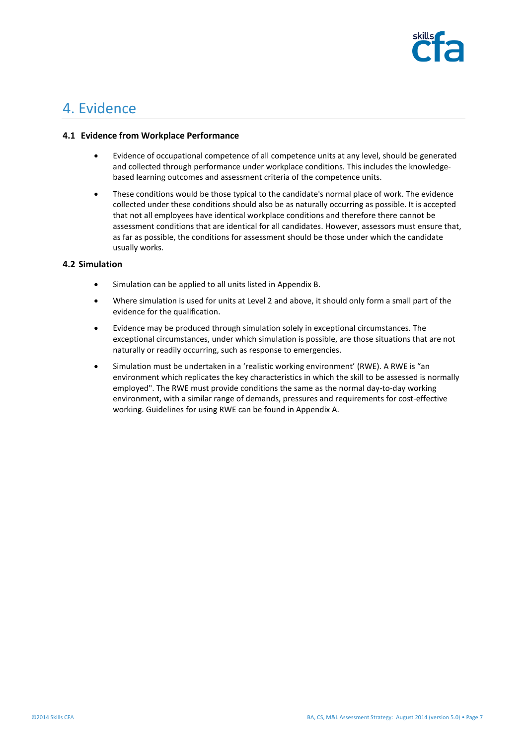

### 4. Evidence

#### **4.1 Evidence from Workplace Performance**

- Evidence of occupational competence of all competence units at any level, should be generated and collected through performance under workplace conditions. This includes the knowledgebased learning outcomes and assessment criteria of the competence units.
- These conditions would be those typical to the candidate's normal place of work. The evidence collected under these conditions should also be as naturally occurring as possible. It is accepted that not all employees have identical workplace conditions and therefore there cannot be assessment conditions that are identical for all candidates. However, assessors must ensure that, as far as possible, the conditions for assessment should be those under which the candidate usually works.

#### **4.2 Simulation**

- Simulation can be applied to all units listed in Appendix B.
- Where simulation is used for units at Level 2 and above, it should only form a small part of the evidence for the qualification.
- Evidence may be produced through simulation solely in exceptional circumstances. The exceptional circumstances, under which simulation is possible, are those situations that are not naturally or readily occurring, such as response to emergencies.
- Simulation must be undertaken in a 'realistic working environment' (RWE). A RWE is "an environment which replicates the key characteristics in which the skill to be assessed is normally employed". The RWE must provide conditions the same as the normal day-to-day working environment, with a similar range of demands, pressures and requirements for cost-effective working. Guidelines for using RWE can be found in Appendix A.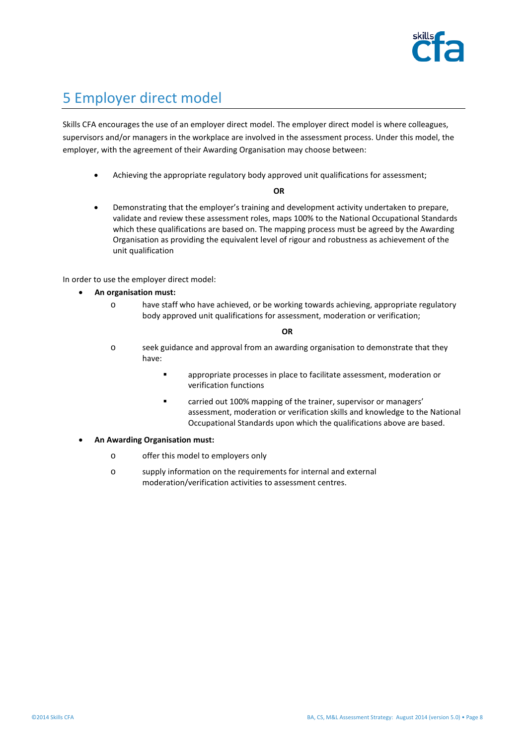

### 5 Employer direct model

Skills CFA encourages the use of an employer direct model. The employer direct model is where colleagues, supervisors and/or managers in the workplace are involved in the assessment process. Under this model, the employer, with the agreement of their Awarding Organisation may choose between:

• Achieving the appropriate regulatory body approved unit qualifications for assessment;

**OR**

• Demonstrating that the employer's training and development activity undertaken to prepare, validate and review these assessment roles, maps 100% to the National Occupational Standards which these qualifications are based on. The mapping process must be agreed by the Awarding Organisation as providing the equivalent level of rigour and robustness as achievement of the unit qualification

In order to use the employer direct model:

- **An organisation must:**
	- o have staff who have achieved, or be working towards achieving, appropriate regulatory body approved unit qualifications for assessment, moderation or verification;

**OR**

- o seek guidance and approval from an awarding organisation to demonstrate that they have:
	- appropriate processes in place to facilitate assessment, moderation or verification functions
	- **Example 20 and 100% mapping of the trainer, supervisor or managers'** assessment, moderation or verification skills and knowledge to the National Occupational Standards upon which the qualifications above are based.
- **An Awarding Organisation must:**
	- o offer this model to employers only
	- o supply information on the requirements for internal and external moderation/verification activities to assessment centres.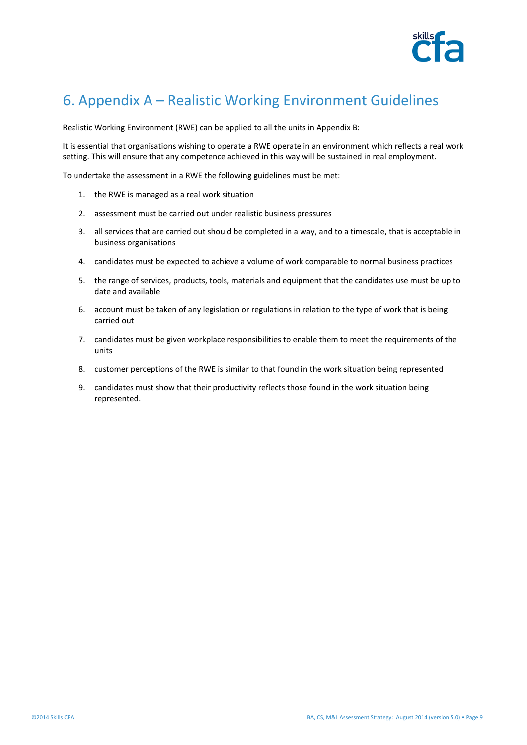

# 6. Appendix A – Realistic Working Environment Guidelines

Realistic Working Environment (RWE) can be applied to all the units in Appendix B:

It is essential that organisations wishing to operate a RWE operate in an environment which reflects a real work setting. This will ensure that any competence achieved in this way will be sustained in real employment.

To undertake the assessment in a RWE the following guidelines must be met:

- 1. the RWE is managed as a real work situation
- 2. assessment must be carried out under realistic business pressures
- 3. all services that are carried out should be completed in a way, and to a timescale, that is acceptable in business organisations
- 4. candidates must be expected to achieve a volume of work comparable to normal business practices
- 5. the range of services, products, tools, materials and equipment that the candidates use must be up to date and available
- 6. account must be taken of any legislation or regulations in relation to the type of work that is being carried out
- 7. candidates must be given workplace responsibilities to enable them to meet the requirements of the units
- 8. customer perceptions of the RWE is similar to that found in the work situation being represented
- 9. candidates must show that their productivity reflects those found in the work situation being represented.